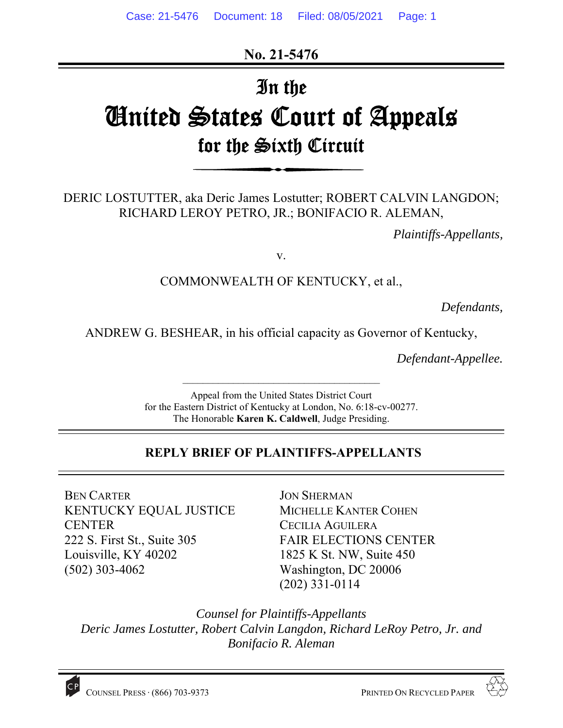**No. 21-5476** 

# In the United States Court of Appeals for the Sixth Circuit

DERIC LOSTUTTER, aka Deric James Lostutter; ROBERT CALVIN LANGDON; RICHARD LEROY PETRO, JR.; BONIFACIO R. ALEMAN,

*Plaintiffs-Appellants,* 

v.

## COMMONWEALTH OF KENTUCKY, et al.,

*Defendants,* 

ANDREW G. BESHEAR, in his official capacity as Governor of Kentucky,

*Defendant-Appellee.*

Appeal from the United States District Court for the Eastern District of Kentucky at London, No. 6:18-cv-00277. The Honorable **Karen K. Caldwell**, Judge Presiding.

 $\mathcal{L}_\text{max}$ 

## **REPLY BRIEF OF PLAINTIFFS-APPELLANTS**

BEN CARTER KENTUCKY EQUAL JUSTICE CENTER 222 S. First St., Suite 305 Louisville, KY 40202 (502) 303-4062

JON SHERMAN MICHELLE KANTER COHEN CECILIA AGUILERA FAIR ELECTIONS CENTER 1825 K St. NW, Suite 450 Washington, DC 20006 (202) 331-0114

*Counsel for Plaintiffs-Appellants Deric James Lostutter, Robert Calvin Langdon, Richard LeRoy Petro, Jr. and Bonifacio R. Aleman*

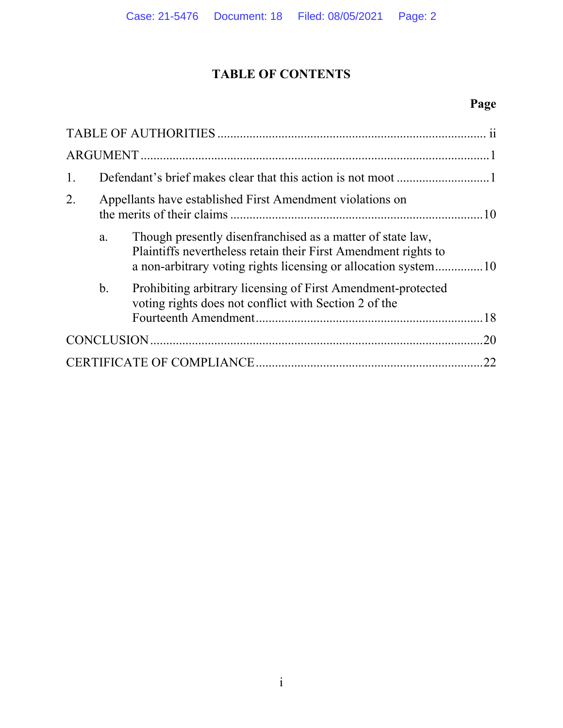# **TABLE OF CONTENTS**

# **Page**

| 2. |    | Appellants have established First Amendment violations on                                                                    |     |  |
|----|----|------------------------------------------------------------------------------------------------------------------------------|-----|--|
|    | a. | Though presently disenfranchised as a matter of state law,<br>Plaintiffs nevertheless retain their First Amendment rights to |     |  |
|    | b. | Prohibiting arbitrary licensing of First Amendment-protected<br>voting rights does not conflict with Section 2 of the        |     |  |
|    |    |                                                                                                                              | .20 |  |
| 22 |    |                                                                                                                              |     |  |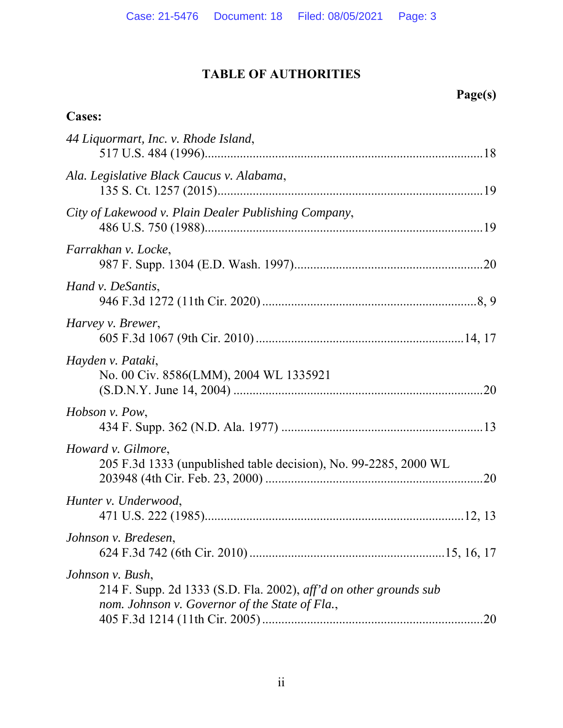# **TABLE OF AUTHORITIES**

# **Page(s)**

# **Cases:**

| 44 Liquormart, Inc. v. Rhode Island,                                                                                                    |  |
|-----------------------------------------------------------------------------------------------------------------------------------------|--|
| Ala. Legislative Black Caucus v. Alabama,                                                                                               |  |
| City of Lakewood v. Plain Dealer Publishing Company,                                                                                    |  |
| Farrakhan v. Locke,                                                                                                                     |  |
| Hand v. DeSantis,                                                                                                                       |  |
| Harvey v. Brewer,                                                                                                                       |  |
| Hayden v. Pataki,<br>No. 00 Civ. 8586(LMM), 2004 WL 1335921                                                                             |  |
| Hobson v. Pow,                                                                                                                          |  |
| Howard v. Gilmore,<br>205 F.3d 1333 (unpublished table decision), No. 99-2285, 2000 WL                                                  |  |
| Hunter v. Underwood,                                                                                                                    |  |
| Johnson v. Bredesen,                                                                                                                    |  |
| Johnson v. Bush,<br>214 F. Supp. 2d 1333 (S.D. Fla. 2002), aff'd on other grounds sub<br>nom. Johnson v. Governor of the State of Fla., |  |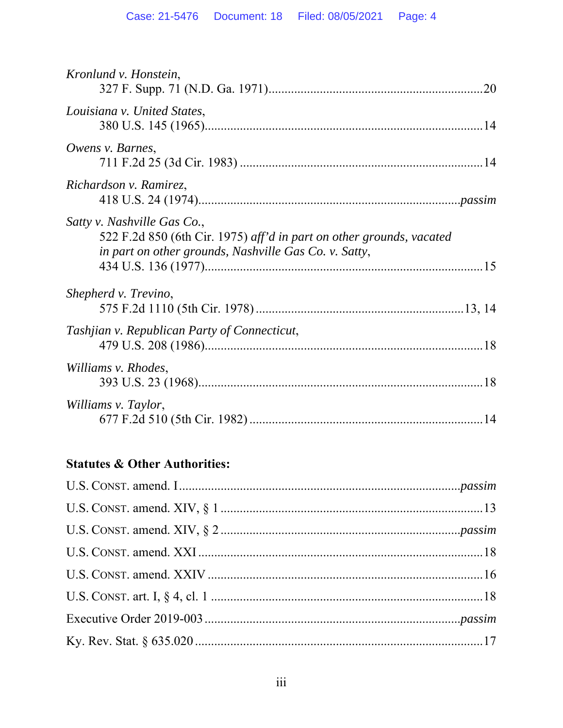| Kronlund v. Honstein,                                                                                                                                        |  |
|--------------------------------------------------------------------------------------------------------------------------------------------------------------|--|
| Louisiana v. United States,                                                                                                                                  |  |
| Owens v. Barnes,                                                                                                                                             |  |
| Richardson v. Ramirez,                                                                                                                                       |  |
| Satty v. Nashville Gas Co.,<br>522 F.2d 850 (6th Cir. 1975) aff'd in part on other grounds, vacated<br>in part on other grounds, Nashville Gas Co. v. Satty, |  |
| Shepherd v. Trevino,                                                                                                                                         |  |
| Tashjian v. Republican Party of Connecticut,                                                                                                                 |  |
| Williams v. Rhodes,                                                                                                                                          |  |
| Williams v. Taylor,                                                                                                                                          |  |

# **Statutes & Other Authorities:**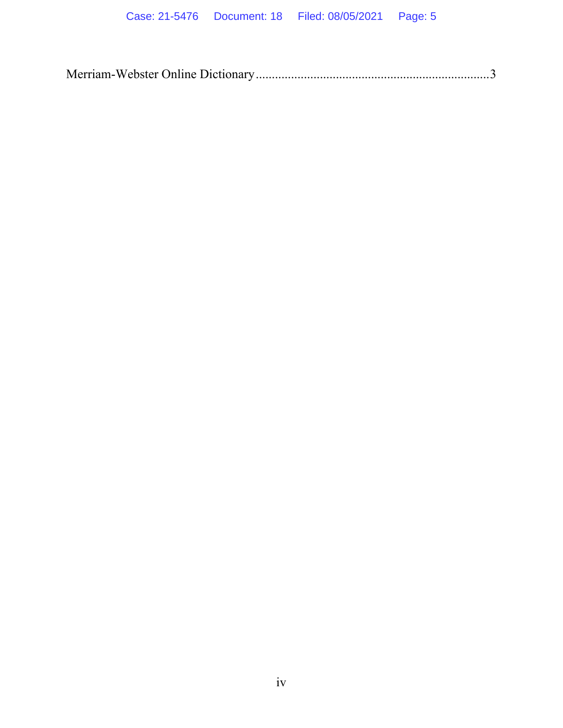|--|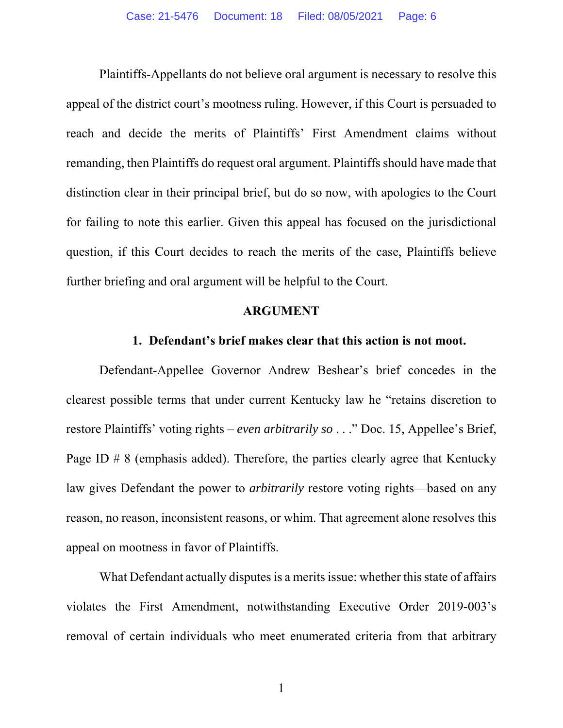Plaintiffs-Appellants do not believe oral argument is necessary to resolve this appeal of the district court's mootness ruling. However, if this Court is persuaded to reach and decide the merits of Plaintiffs' First Amendment claims without remanding, then Plaintiffs do request oral argument. Plaintiffs should have made that distinction clear in their principal brief, but do so now, with apologies to the Court for failing to note this earlier. Given this appeal has focused on the jurisdictional question, if this Court decides to reach the merits of the case, Plaintiffs believe further briefing and oral argument will be helpful to the Court.

#### **ARGUMENT**

#### **1. Defendant's brief makes clear that this action is not moot.**

Defendant-Appellee Governor Andrew Beshear's brief concedes in the clearest possible terms that under current Kentucky law he "retains discretion to restore Plaintiffs' voting rights – *even arbitrarily so* . . ." Doc. 15, Appellee's Brief, Page ID # 8 (emphasis added). Therefore, the parties clearly agree that Kentucky law gives Defendant the power to *arbitrarily* restore voting rights—based on any reason, no reason, inconsistent reasons, or whim. That agreement alone resolves this appeal on mootness in favor of Plaintiffs.

What Defendant actually disputes is a merits issue: whether this state of affairs violates the First Amendment, notwithstanding Executive Order 2019-003's removal of certain individuals who meet enumerated criteria from that arbitrary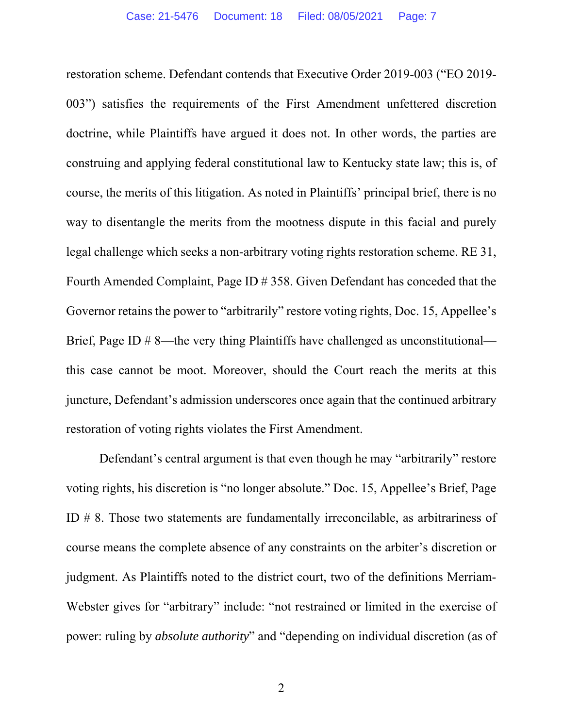restoration scheme. Defendant contends that Executive Order 2019-003 ("EO 2019- 003") satisfies the requirements of the First Amendment unfettered discretion doctrine, while Plaintiffs have argued it does not. In other words, the parties are construing and applying federal constitutional law to Kentucky state law; this is, of course, the merits of this litigation. As noted in Plaintiffs' principal brief, there is no way to disentangle the merits from the mootness dispute in this facial and purely legal challenge which seeks a non-arbitrary voting rights restoration scheme. RE 31, Fourth Amended Complaint, Page ID # 358. Given Defendant has conceded that the Governor retains the power to "arbitrarily" restore voting rights, Doc. 15, Appellee's Brief, Page ID # 8—the very thing Plaintiffs have challenged as unconstitutional this case cannot be moot. Moreover, should the Court reach the merits at this juncture, Defendant's admission underscores once again that the continued arbitrary restoration of voting rights violates the First Amendment.

Defendant's central argument is that even though he may "arbitrarily" restore voting rights, his discretion is "no longer absolute." Doc. 15, Appellee's Brief, Page ID # 8. Those two statements are fundamentally irreconcilable, as arbitrariness of course means the complete absence of any constraints on the arbiter's discretion or judgment. As Plaintiffs noted to the district court, two of the definitions Merriam-Webster gives for "arbitrary" include: "not restrained or limited in the exercise of power: ruling by *absolute authority*" and "depending on individual discretion (as of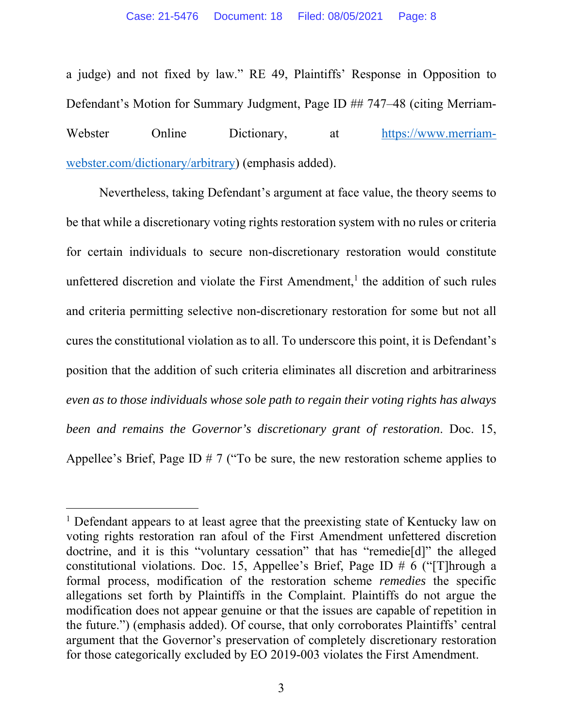a judge) and not fixed by law." RE 49, Plaintiffs' Response in Opposition to Defendant's Motion for Summary Judgment, Page ID ## 747–48 (citing Merriam-Webster Online Dictionary, at https://www.merriamwebster.com/dictionary/arbitrary) (emphasis added).

Nevertheless, taking Defendant's argument at face value, the theory seems to be that while a discretionary voting rights restoration system with no rules or criteria for certain individuals to secure non-discretionary restoration would constitute unfettered discretion and violate the First Amendment,<sup>1</sup> the addition of such rules and criteria permitting selective non-discretionary restoration for some but not all cures the constitutional violation as to all. To underscore this point, it is Defendant's position that the addition of such criteria eliminates all discretion and arbitrariness *even as to those individuals whose sole path to regain their voting rights has always been and remains the Governor's discretionary grant of restoration*. Doc. 15, Appellee's Brief, Page ID # 7 ("To be sure, the new restoration scheme applies to

<sup>&</sup>lt;sup>1</sup> Defendant appears to at least agree that the preexisting state of Kentucky law on voting rights restoration ran afoul of the First Amendment unfettered discretion doctrine, and it is this "voluntary cessation" that has "remedie[d]" the alleged constitutional violations. Doc. 15, Appellee's Brief, Page ID # 6 ("[T]hrough a formal process, modification of the restoration scheme *remedies* the specific allegations set forth by Plaintiffs in the Complaint. Plaintiffs do not argue the modification does not appear genuine or that the issues are capable of repetition in the future.") (emphasis added). Of course, that only corroborates Plaintiffs' central argument that the Governor's preservation of completely discretionary restoration for those categorically excluded by EO 2019-003 violates the First Amendment.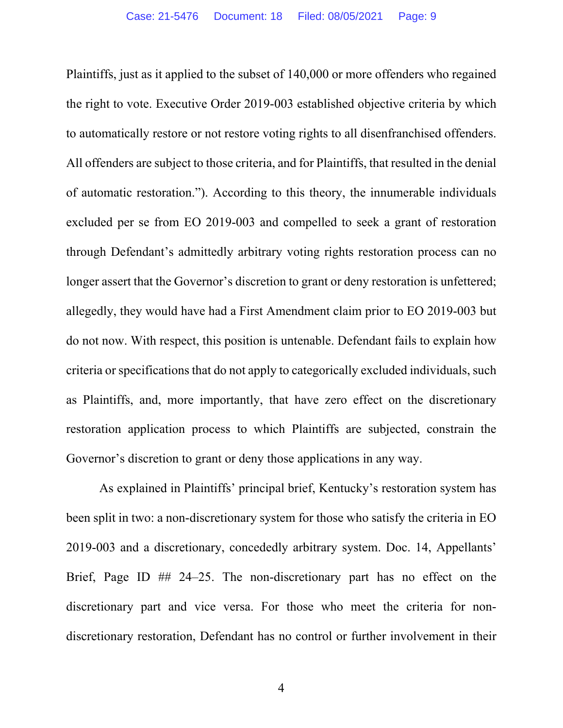Plaintiffs, just as it applied to the subset of 140,000 or more offenders who regained the right to vote. Executive Order 2019-003 established objective criteria by which to automatically restore or not restore voting rights to all disenfranchised offenders. All offenders are subject to those criteria, and for Plaintiffs, that resulted in the denial of automatic restoration."). According to this theory, the innumerable individuals excluded per se from EO 2019-003 and compelled to seek a grant of restoration through Defendant's admittedly arbitrary voting rights restoration process can no longer assert that the Governor's discretion to grant or deny restoration is unfettered; allegedly, they would have had a First Amendment claim prior to EO 2019-003 but do not now. With respect, this position is untenable. Defendant fails to explain how criteria or specifications that do not apply to categorically excluded individuals, such as Plaintiffs, and, more importantly, that have zero effect on the discretionary restoration application process to which Plaintiffs are subjected, constrain the Governor's discretion to grant or deny those applications in any way.

As explained in Plaintiffs' principal brief, Kentucky's restoration system has been split in two: a non-discretionary system for those who satisfy the criteria in EO 2019-003 and a discretionary, concededly arbitrary system. Doc. 14, Appellants' Brief, Page ID ## 24–25. The non-discretionary part has no effect on the discretionary part and vice versa. For those who meet the criteria for nondiscretionary restoration, Defendant has no control or further involvement in their

4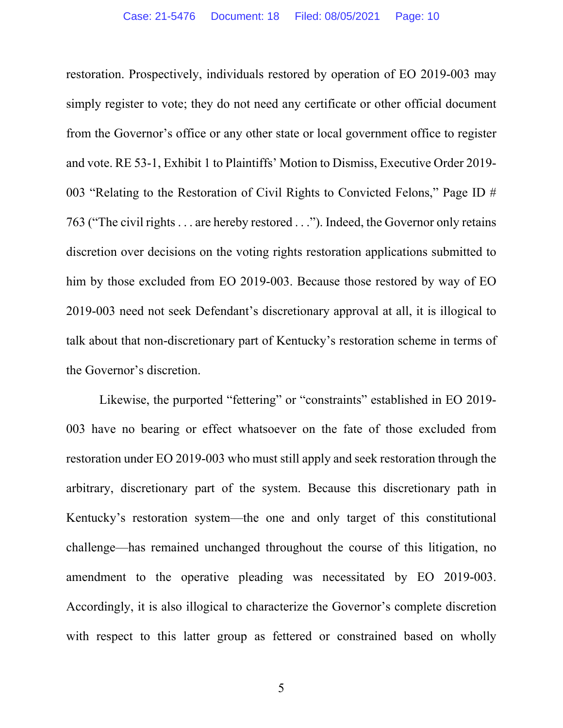restoration. Prospectively, individuals restored by operation of EO 2019-003 may simply register to vote; they do not need any certificate or other official document from the Governor's office or any other state or local government office to register and vote. RE 53-1, Exhibit 1 to Plaintiffs' Motion to Dismiss, Executive Order 2019- 003 "Relating to the Restoration of Civil Rights to Convicted Felons," Page ID # 763 ("The civil rights . . . are hereby restored . . ."). Indeed, the Governor only retains discretion over decisions on the voting rights restoration applications submitted to him by those excluded from EO 2019-003. Because those restored by way of EO 2019-003 need not seek Defendant's discretionary approval at all, it is illogical to talk about that non-discretionary part of Kentucky's restoration scheme in terms of the Governor's discretion.

Likewise, the purported "fettering" or "constraints" established in EO 2019- 003 have no bearing or effect whatsoever on the fate of those excluded from restoration under EO 2019-003 who must still apply and seek restoration through the arbitrary, discretionary part of the system. Because this discretionary path in Kentucky's restoration system—the one and only target of this constitutional challenge—has remained unchanged throughout the course of this litigation, no amendment to the operative pleading was necessitated by EO 2019-003. Accordingly, it is also illogical to characterize the Governor's complete discretion with respect to this latter group as fettered or constrained based on wholly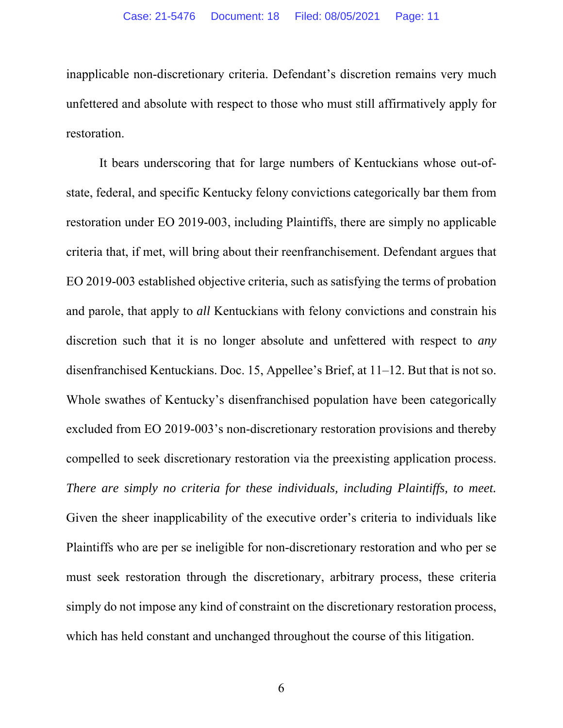inapplicable non-discretionary criteria. Defendant's discretion remains very much unfettered and absolute with respect to those who must still affirmatively apply for restoration.

It bears underscoring that for large numbers of Kentuckians whose out-ofstate, federal, and specific Kentucky felony convictions categorically bar them from restoration under EO 2019-003, including Plaintiffs, there are simply no applicable criteria that, if met, will bring about their reenfranchisement. Defendant argues that EO 2019-003 established objective criteria, such as satisfying the terms of probation and parole, that apply to *all* Kentuckians with felony convictions and constrain his discretion such that it is no longer absolute and unfettered with respect to *any* disenfranchised Kentuckians. Doc. 15, Appellee's Brief, at 11–12. But that is not so. Whole swathes of Kentucky's disenfranchised population have been categorically excluded from EO 2019-003's non-discretionary restoration provisions and thereby compelled to seek discretionary restoration via the preexisting application process. *There are simply no criteria for these individuals, including Plaintiffs, to meet.* Given the sheer inapplicability of the executive order's criteria to individuals like Plaintiffs who are per se ineligible for non-discretionary restoration and who per se must seek restoration through the discretionary, arbitrary process, these criteria simply do not impose any kind of constraint on the discretionary restoration process, which has held constant and unchanged throughout the course of this litigation.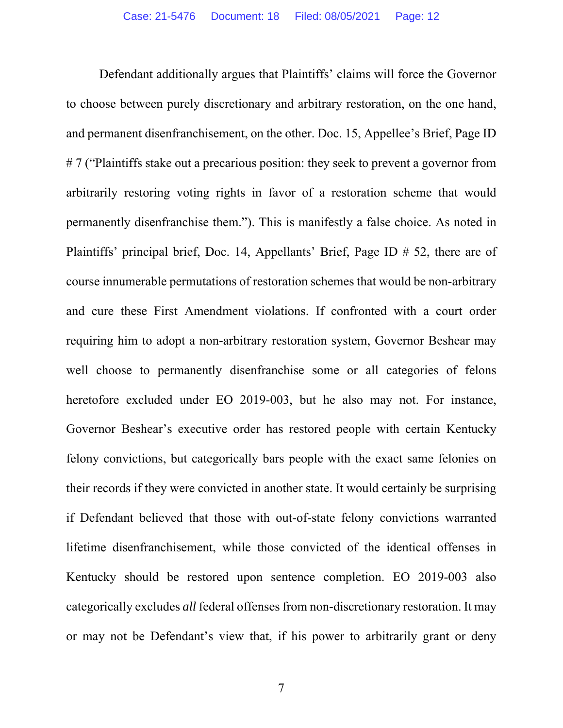Defendant additionally argues that Plaintiffs' claims will force the Governor to choose between purely discretionary and arbitrary restoration, on the one hand, and permanent disenfranchisement, on the other. Doc. 15, Appellee's Brief, Page ID #7 ("Plaintiffs stake out a precarious position: they seek to prevent a governor from arbitrarily restoring voting rights in favor of a restoration scheme that would permanently disenfranchise them."). This is manifestly a false choice. As noted in Plaintiffs' principal brief, Doc. 14, Appellants' Brief, Page ID # 52, there are of course innumerable permutations of restoration schemes that would be non-arbitrary and cure these First Amendment violations. If confronted with a court order requiring him to adopt a non-arbitrary restoration system, Governor Beshear may well choose to permanently disenfranchise some or all categories of felons heretofore excluded under EO 2019-003, but he also may not. For instance, Governor Beshear's executive order has restored people with certain Kentucky felony convictions, but categorically bars people with the exact same felonies on their records if they were convicted in another state. It would certainly be surprising if Defendant believed that those with out-of-state felony convictions warranted lifetime disenfranchisement, while those convicted of the identical offenses in Kentucky should be restored upon sentence completion. EO 2019-003 also categorically excludes *all* federal offenses from non-discretionary restoration. It may or may not be Defendant's view that, if his power to arbitrarily grant or deny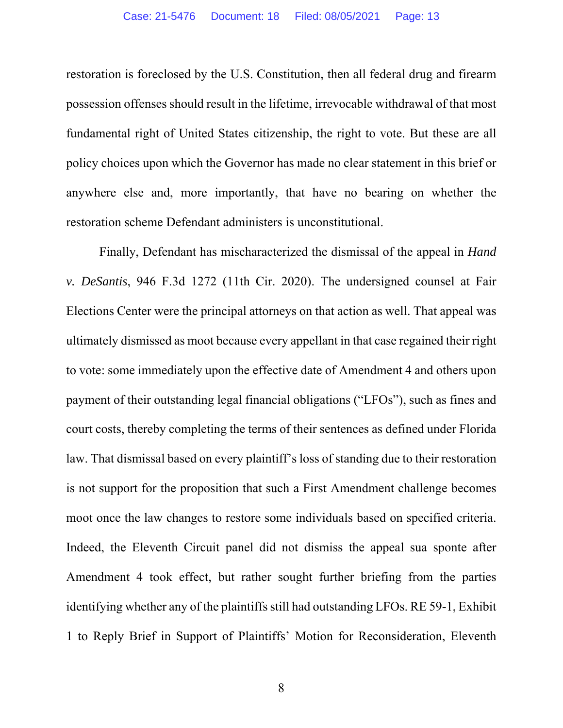restoration is foreclosed by the U.S. Constitution, then all federal drug and firearm possession offenses should result in the lifetime, irrevocable withdrawal of that most fundamental right of United States citizenship, the right to vote. But these are all policy choices upon which the Governor has made no clear statement in this brief or anywhere else and, more importantly, that have no bearing on whether the restoration scheme Defendant administers is unconstitutional.

Finally, Defendant has mischaracterized the dismissal of the appeal in *Hand v. DeSantis*, 946 F.3d 1272 (11th Cir. 2020). The undersigned counsel at Fair Elections Center were the principal attorneys on that action as well. That appeal was ultimately dismissed as moot because every appellant in that case regained their right to vote: some immediately upon the effective date of Amendment 4 and others upon payment of their outstanding legal financial obligations ("LFOs"), such as fines and court costs, thereby completing the terms of their sentences as defined under Florida law. That dismissal based on every plaintiff's loss of standing due to their restoration is not support for the proposition that such a First Amendment challenge becomes moot once the law changes to restore some individuals based on specified criteria. Indeed, the Eleventh Circuit panel did not dismiss the appeal sua sponte after Amendment 4 took effect, but rather sought further briefing from the parties identifying whether any of the plaintiffs still had outstanding LFOs. RE 59-1, Exhibit 1 to Reply Brief in Support of Plaintiffs' Motion for Reconsideration, Eleventh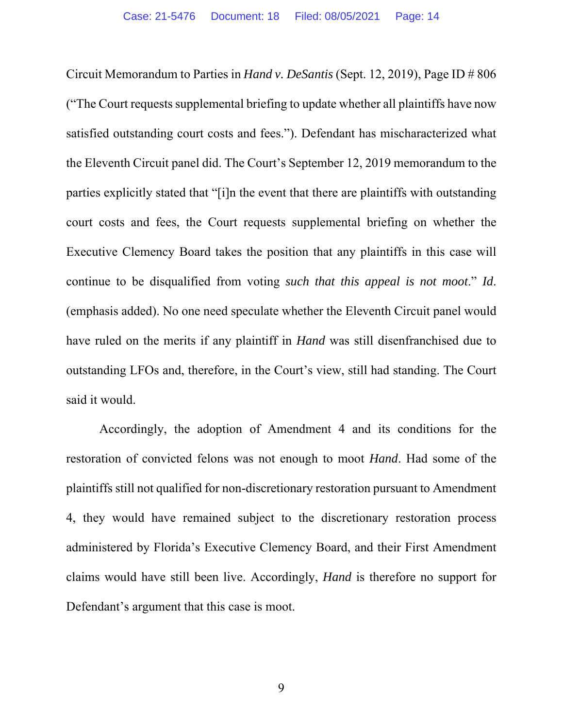Circuit Memorandum to Parties in *Hand v. DeSantis* (Sept. 12, 2019), Page ID # 806 ("The Court requests supplemental briefing to update whether all plaintiffs have now satisfied outstanding court costs and fees."). Defendant has mischaracterized what the Eleventh Circuit panel did. The Court's September 12, 2019 memorandum to the parties explicitly stated that "[i]n the event that there are plaintiffs with outstanding court costs and fees, the Court requests supplemental briefing on whether the Executive Clemency Board takes the position that any plaintiffs in this case will continue to be disqualified from voting *such that this appeal is not moot*." *Id*. (emphasis added). No one need speculate whether the Eleventh Circuit panel would have ruled on the merits if any plaintiff in *Hand* was still disenfranchised due to outstanding LFOs and, therefore, in the Court's view, still had standing. The Court said it would.

Accordingly, the adoption of Amendment 4 and its conditions for the restoration of convicted felons was not enough to moot *Hand*. Had some of the plaintiffs still not qualified for non-discretionary restoration pursuant to Amendment 4, they would have remained subject to the discretionary restoration process administered by Florida's Executive Clemency Board, and their First Amendment claims would have still been live. Accordingly, *Hand* is therefore no support for Defendant's argument that this case is moot.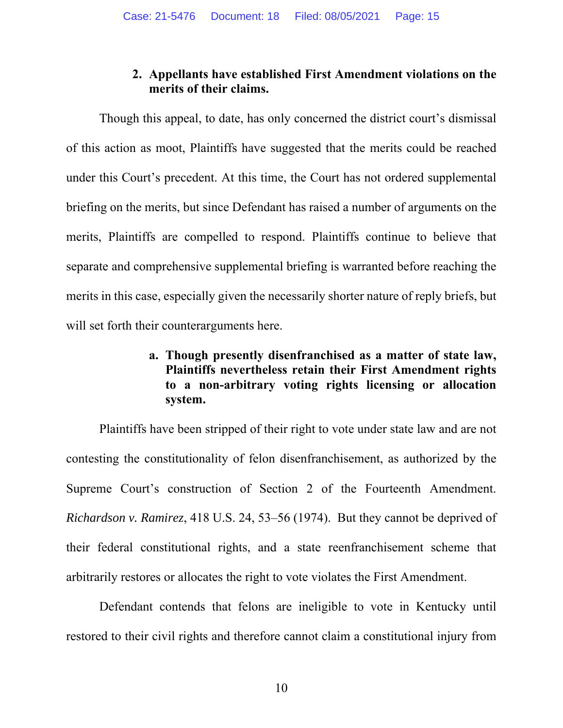### **2. Appellants have established First Amendment violations on the merits of their claims.**

Though this appeal, to date, has only concerned the district court's dismissal of this action as moot, Plaintiffs have suggested that the merits could be reached under this Court's precedent. At this time, the Court has not ordered supplemental briefing on the merits, but since Defendant has raised a number of arguments on the merits, Plaintiffs are compelled to respond. Plaintiffs continue to believe that separate and comprehensive supplemental briefing is warranted before reaching the merits in this case, especially given the necessarily shorter nature of reply briefs, but will set forth their counterarguments here.

### **a. Though presently disenfranchised as a matter of state law, Plaintiffs nevertheless retain their First Amendment rights to a non-arbitrary voting rights licensing or allocation system.**

 Plaintiffs have been stripped of their right to vote under state law and are not contesting the constitutionality of felon disenfranchisement, as authorized by the Supreme Court's construction of Section 2 of the Fourteenth Amendment. *Richardson v. Ramirez*, 418 U.S. 24, 53–56 (1974). But they cannot be deprived of their federal constitutional rights, and a state reenfranchisement scheme that arbitrarily restores or allocates the right to vote violates the First Amendment.

Defendant contends that felons are ineligible to vote in Kentucky until restored to their civil rights and therefore cannot claim a constitutional injury from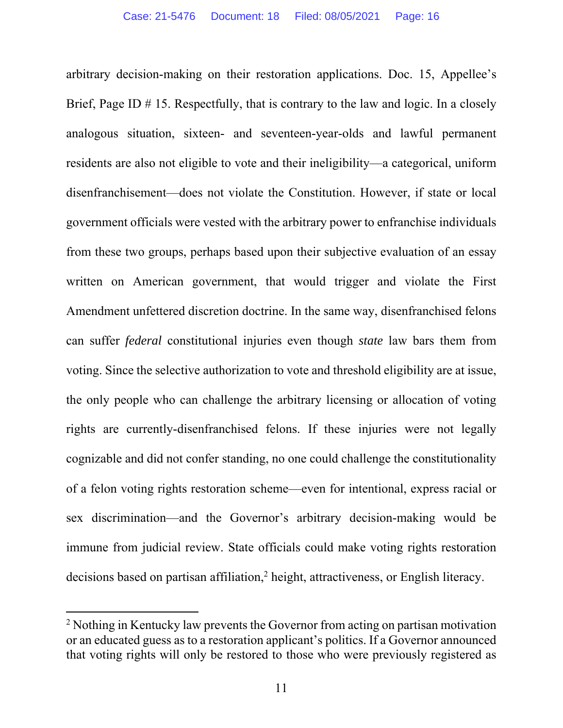arbitrary decision-making on their restoration applications. Doc. 15, Appellee's Brief, Page ID  $# 15$ . Respectfully, that is contrary to the law and logic. In a closely analogous situation, sixteen- and seventeen-year-olds and lawful permanent residents are also not eligible to vote and their ineligibility—a categorical, uniform disenfranchisement—does not violate the Constitution. However, if state or local government officials were vested with the arbitrary power to enfranchise individuals from these two groups, perhaps based upon their subjective evaluation of an essay written on American government, that would trigger and violate the First Amendment unfettered discretion doctrine. In the same way, disenfranchised felons can suffer *federal* constitutional injuries even though *state* law bars them from voting. Since the selective authorization to vote and threshold eligibility are at issue, the only people who can challenge the arbitrary licensing or allocation of voting rights are currently-disenfranchised felons. If these injuries were not legally cognizable and did not confer standing, no one could challenge the constitutionality of a felon voting rights restoration scheme—even for intentional, express racial or sex discrimination—and the Governor's arbitrary decision-making would be immune from judicial review. State officials could make voting rights restoration decisions based on partisan affiliation,<sup>2</sup> height, attractiveness, or English literacy.

<sup>&</sup>lt;sup>2</sup> Nothing in Kentucky law prevents the Governor from acting on partisan motivation or an educated guess as to a restoration applicant's politics. If a Governor announced that voting rights will only be restored to those who were previously registered as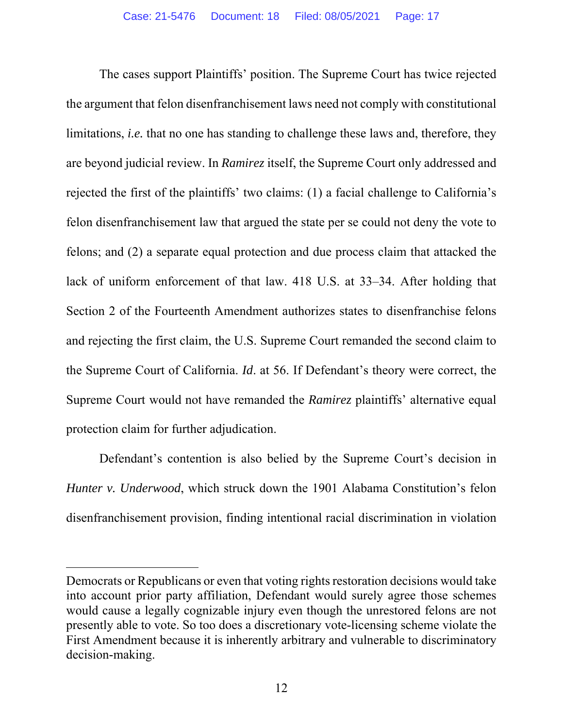The cases support Plaintiffs' position. The Supreme Court has twice rejected the argument that felon disenfranchisement laws need not comply with constitutional limitations, *i.e.* that no one has standing to challenge these laws and, therefore, they are beyond judicial review. In *Ramirez* itself, the Supreme Court only addressed and rejected the first of the plaintiffs' two claims: (1) a facial challenge to California's felon disenfranchisement law that argued the state per se could not deny the vote to felons; and (2) a separate equal protection and due process claim that attacked the lack of uniform enforcement of that law. 418 U.S. at 33–34. After holding that Section 2 of the Fourteenth Amendment authorizes states to disenfranchise felons and rejecting the first claim, the U.S. Supreme Court remanded the second claim to the Supreme Court of California. *Id*. at 56. If Defendant's theory were correct, the Supreme Court would not have remanded the *Ramirez* plaintiffs' alternative equal protection claim for further adjudication.

Defendant's contention is also belied by the Supreme Court's decision in *Hunter v. Underwood*, which struck down the 1901 Alabama Constitution's felon disenfranchisement provision, finding intentional racial discrimination in violation

Democrats or Republicans or even that voting rights restoration decisions would take into account prior party affiliation, Defendant would surely agree those schemes would cause a legally cognizable injury even though the unrestored felons are not presently able to vote. So too does a discretionary vote-licensing scheme violate the First Amendment because it is inherently arbitrary and vulnerable to discriminatory decision-making.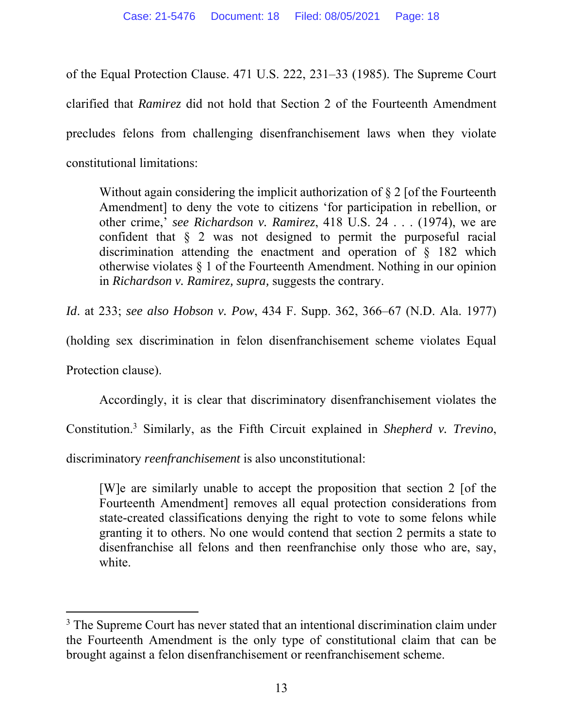of the Equal Protection Clause. 471 U.S. 222, 231–33 (1985). The Supreme Court clarified that *Ramirez* did not hold that Section 2 of the Fourteenth Amendment precludes felons from challenging disenfranchisement laws when they violate constitutional limitations:

Without again considering the implicit authorization of  $\S 2$  [of the Fourteenth Amendment] to deny the vote to citizens 'for participation in rebellion, or other crime,' *see Richardson v. Ramirez*, 418 U.S. 24 . . . (1974), we are confident that § 2 was not designed to permit the purposeful racial discrimination attending the enactment and operation of § 182 which otherwise violates § 1 of the Fourteenth Amendment. Nothing in our opinion in *Richardson v. Ramirez, supra,* suggests the contrary.

*Id*. at 233; *see also Hobson v. Pow*, 434 F. Supp. 362, 366–67 (N.D. Ala. 1977)

(holding sex discrimination in felon disenfranchisement scheme violates Equal

Protection clause).

Accordingly, it is clear that discriminatory disenfranchisement violates the

Constitution.3 Similarly, as the Fifth Circuit explained in *Shepherd v. Trevino*,

discriminatory *reenfranchisement* is also unconstitutional:

[W]e are similarly unable to accept the proposition that section 2 [of the Fourteenth Amendment] removes all equal protection considerations from state-created classifications denying the right to vote to some felons while granting it to others. No one would contend that section 2 permits a state to disenfranchise all felons and then reenfranchise only those who are, say, white.

<sup>&</sup>lt;sup>3</sup> The Supreme Court has never stated that an intentional discrimination claim under the Fourteenth Amendment is the only type of constitutional claim that can be brought against a felon disenfranchisement or reenfranchisement scheme.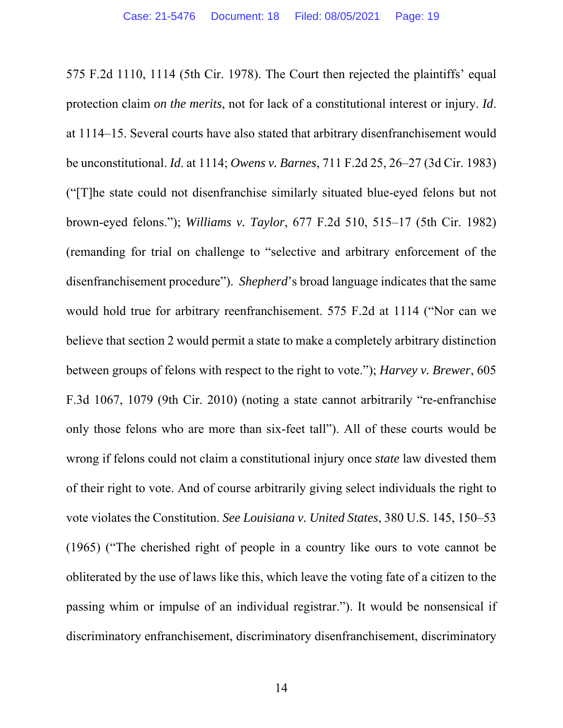575 F.2d 1110, 1114 (5th Cir. 1978). The Court then rejected the plaintiffs' equal protection claim *on the merits*, not for lack of a constitutional interest or injury. *Id*. at 1114–15. Several courts have also stated that arbitrary disenfranchisement would be unconstitutional. *Id*. at 1114; *Owens v. Barnes*, 711 F.2d 25, 26–27 (3d Cir. 1983) ("[T]he state could not disenfranchise similarly situated blue-eyed felons but not brown-eyed felons."); *Williams v. Taylor*, 677 F.2d 510, 515–17 (5th Cir. 1982) (remanding for trial on challenge to "selective and arbitrary enforcement of the disenfranchisement procedure"). *Shepherd*'s broad language indicates that the same would hold true for arbitrary reenfranchisement. 575 F.2d at 1114 ("Nor can we believe that section 2 would permit a state to make a completely arbitrary distinction between groups of felons with respect to the right to vote."); *Harvey v. Brewer*, 605 F.3d 1067, 1079 (9th Cir. 2010) (noting a state cannot arbitrarily "re-enfranchise only those felons who are more than six-feet tall"). All of these courts would be wrong if felons could not claim a constitutional injury once *state* law divested them of their right to vote. And of course arbitrarily giving select individuals the right to vote violates the Constitution. *See Louisiana v. United States*, 380 U.S. 145, 150–53 (1965) ("The cherished right of people in a country like ours to vote cannot be obliterated by the use of laws like this, which leave the voting fate of a citizen to the passing whim or impulse of an individual registrar."). It would be nonsensical if discriminatory enfranchisement, discriminatory disenfranchisement, discriminatory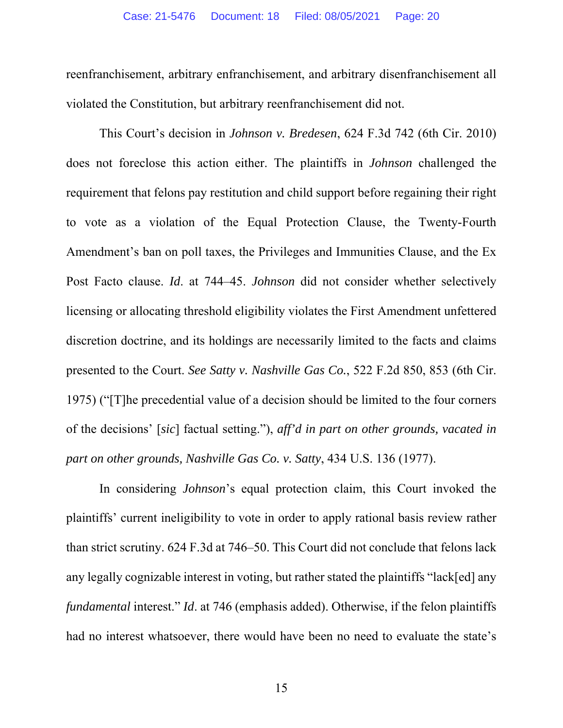reenfranchisement, arbitrary enfranchisement, and arbitrary disenfranchisement all violated the Constitution, but arbitrary reenfranchisement did not.

This Court's decision in *Johnson v. Bredesen*, 624 F.3d 742 (6th Cir. 2010) does not foreclose this action either. The plaintiffs in *Johnson* challenged the requirement that felons pay restitution and child support before regaining their right to vote as a violation of the Equal Protection Clause, the Twenty-Fourth Amendment's ban on poll taxes, the Privileges and Immunities Clause, and the Ex Post Facto clause. *Id*. at 744–45. *Johnson* did not consider whether selectively licensing or allocating threshold eligibility violates the First Amendment unfettered discretion doctrine, and its holdings are necessarily limited to the facts and claims presented to the Court. *See Satty v. Nashville Gas Co.*, 522 F.2d 850, 853 (6th Cir. 1975) ("[T]he precedential value of a decision should be limited to the four corners of the decisions' [*sic*] factual setting."), *aff'd in part on other grounds, vacated in part on other grounds, Nashville Gas Co. v. Satty*, 434 U.S. 136 (1977).

In considering *Johnson*'s equal protection claim, this Court invoked the plaintiffs' current ineligibility to vote in order to apply rational basis review rather than strict scrutiny. 624 F.3d at 746–50. This Court did not conclude that felons lack any legally cognizable interest in voting, but rather stated the plaintiffs "lack[ed] any *fundamental* interest." *Id*. at 746 (emphasis added). Otherwise, if the felon plaintiffs had no interest whatsoever, there would have been no need to evaluate the state's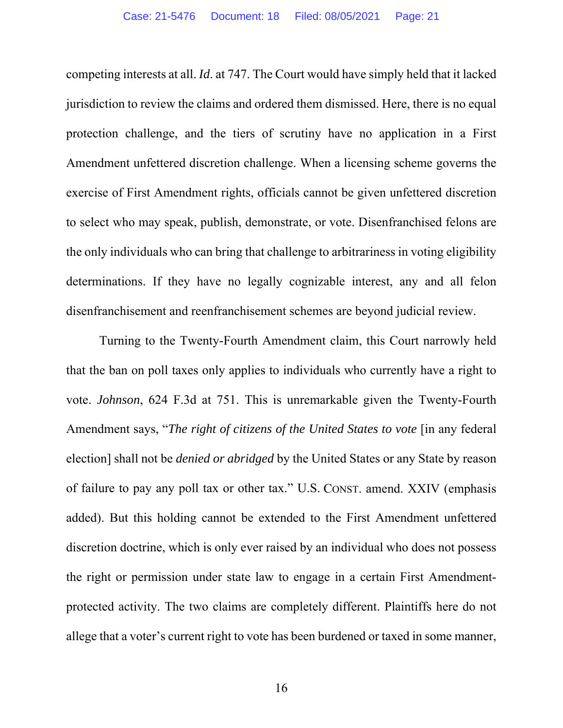competing interests at all. *Id*. at 747. The Court would have simply held that it lacked jurisdiction to review the claims and ordered them dismissed. Here, there is no equal protection challenge, and the tiers of scrutiny have no application in a First Amendment unfettered discretion challenge. When a licensing scheme governs the exercise of First Amendment rights, officials cannot be given unfettered discretion to select who may speak, publish, demonstrate, or vote. Disenfranchised felons are the only individuals who can bring that challenge to arbitrariness in voting eligibility determinations. If they have no legally cognizable interest, any and all felon disenfranchisement and reenfranchisement schemes are beyond judicial review.

Turning to the Twenty-Fourth Amendment claim, this Court narrowly held that the ban on poll taxes only applies to individuals who currently have a right to vote. *Johnson*, 624 F.3d at 751. This is unremarkable given the Twenty-Fourth Amendment says, "*The right of citizens of the United States to vote* [in any federal election] shall not be *denied or abridged* by the United States or any State by reason of failure to pay any poll tax or other tax." U.S. CONST. amend. XXIV (emphasis added). But this holding cannot be extended to the First Amendment unfettered discretion doctrine, which is only ever raised by an individual who does not possess the right or permission under state law to engage in a certain First Amendmentprotected activity. The two claims are completely different. Plaintiffs here do not allege that a voter's current right to vote has been burdened or taxed in some manner,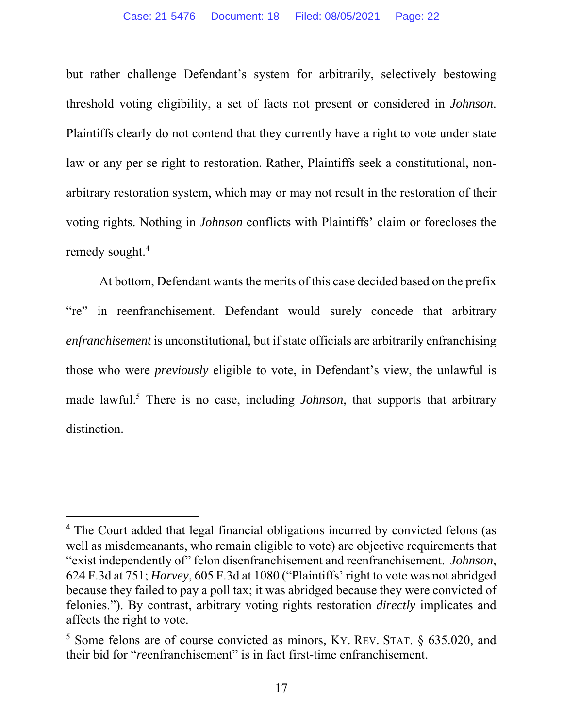but rather challenge Defendant's system for arbitrarily, selectively bestowing threshold voting eligibility, a set of facts not present or considered in *Johnson*. Plaintiffs clearly do not contend that they currently have a right to vote under state law or any per se right to restoration. Rather, Plaintiffs seek a constitutional, nonarbitrary restoration system, which may or may not result in the restoration of their voting rights. Nothing in *Johnson* conflicts with Plaintiffs' claim or forecloses the remedy sought.<sup>4</sup>

At bottom, Defendant wants the merits of this case decided based on the prefix "re" in reenfranchisement. Defendant would surely concede that arbitrary *enfranchisement* is unconstitutional, but if state officials are arbitrarily enfranchising those who were *previously* eligible to vote, in Defendant's view, the unlawful is made lawful.<sup>5</sup> There is no case, including *Johnson*, that supports that arbitrary distinction.

<sup>&</sup>lt;sup>4</sup> The Court added that legal financial obligations incurred by convicted felons (as well as misdemeanants, who remain eligible to vote) are objective requirements that "exist independently of" felon disenfranchisement and reenfranchisement. *Johnson*, 624 F.3d at 751; *Harvey*, 605 F.3d at 1080 ("Plaintiffs' right to vote was not abridged because they failed to pay a poll tax; it was abridged because they were convicted of felonies."). By contrast, arbitrary voting rights restoration *directly* implicates and affects the right to vote.

<sup>&</sup>lt;sup>5</sup> Some felons are of course convicted as minors, KY. REV. STAT. § 635.020, and their bid for "*re*enfranchisement" is in fact first-time enfranchisement.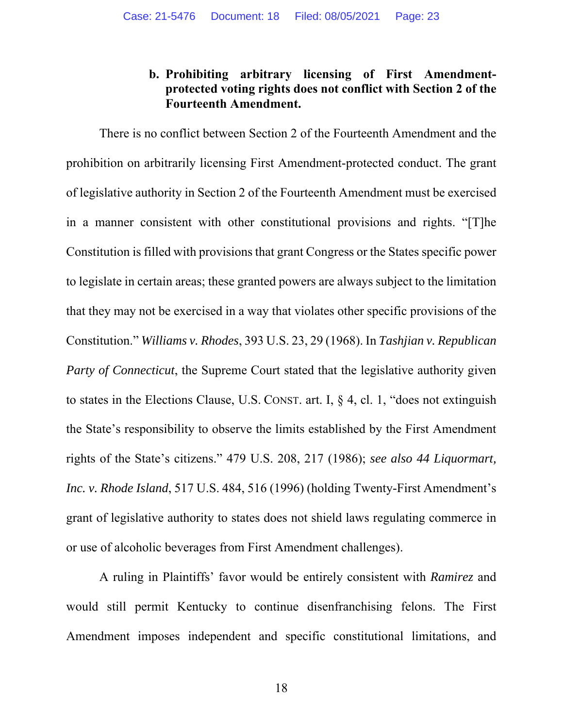### **b. Prohibiting arbitrary licensing of First Amendmentprotected voting rights does not conflict with Section 2 of the Fourteenth Amendment.**

There is no conflict between Section 2 of the Fourteenth Amendment and the prohibition on arbitrarily licensing First Amendment-protected conduct. The grant of legislative authority in Section 2 of the Fourteenth Amendment must be exercised in a manner consistent with other constitutional provisions and rights. "[T]he Constitution is filled with provisions that grant Congress or the States specific power to legislate in certain areas; these granted powers are always subject to the limitation that they may not be exercised in a way that violates other specific provisions of the Constitution." *Williams v. Rhodes*, 393 U.S. 23, 29 (1968). In *Tashjian v. Republican Party of Connecticut*, the Supreme Court stated that the legislative authority given to states in the Elections Clause, U.S. CONST. art. I, § 4, cl. 1, "does not extinguish the State's responsibility to observe the limits established by the First Amendment rights of the State's citizens." 479 U.S. 208, 217 (1986); *see also 44 Liquormart, Inc. v. Rhode Island*, 517 U.S. 484, 516 (1996) (holding Twenty-First Amendment's grant of legislative authority to states does not shield laws regulating commerce in or use of alcoholic beverages from First Amendment challenges).

A ruling in Plaintiffs' favor would be entirely consistent with *Ramirez* and would still permit Kentucky to continue disenfranchising felons. The First Amendment imposes independent and specific constitutional limitations, and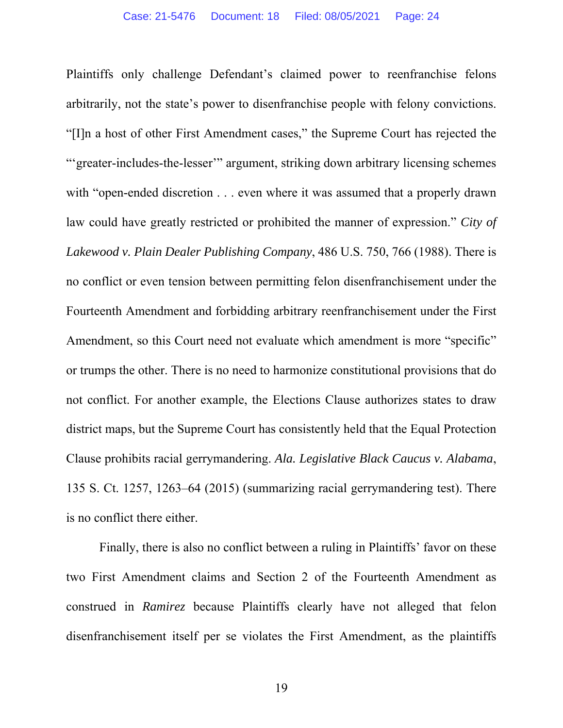Plaintiffs only challenge Defendant's claimed power to reenfranchise felons arbitrarily, not the state's power to disenfranchise people with felony convictions. "[I]n a host of other First Amendment cases," the Supreme Court has rejected the "'greater-includes-the-lesser'" argument, striking down arbitrary licensing schemes with "open-ended discretion . . . even where it was assumed that a properly drawn law could have greatly restricted or prohibited the manner of expression." *City of Lakewood v. Plain Dealer Publishing Company*, 486 U.S. 750, 766 (1988). There is no conflict or even tension between permitting felon disenfranchisement under the Fourteenth Amendment and forbidding arbitrary reenfranchisement under the First Amendment, so this Court need not evaluate which amendment is more "specific" or trumps the other. There is no need to harmonize constitutional provisions that do not conflict. For another example, the Elections Clause authorizes states to draw district maps, but the Supreme Court has consistently held that the Equal Protection Clause prohibits racial gerrymandering. *Ala. Legislative Black Caucus v. Alabama*, 135 S. Ct. 1257, 1263–64 (2015) (summarizing racial gerrymandering test). There is no conflict there either.

Finally, there is also no conflict between a ruling in Plaintiffs' favor on these two First Amendment claims and Section 2 of the Fourteenth Amendment as construed in *Ramirez* because Plaintiffs clearly have not alleged that felon disenfranchisement itself per se violates the First Amendment, as the plaintiffs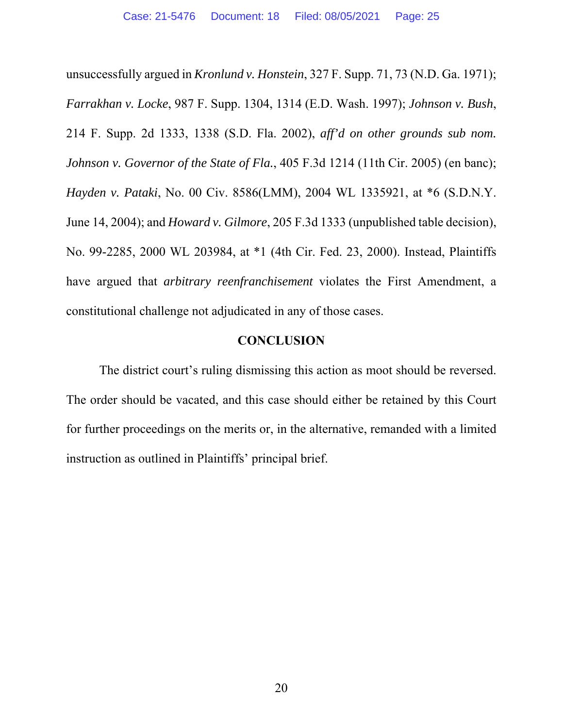unsuccessfully argued in *Kronlund v. Honstein*, 327 F. Supp. 71, 73 (N.D. Ga. 1971); *Farrakhan v. Locke*, 987 F. Supp. 1304, 1314 (E.D. Wash. 1997); *Johnson v. Bush*, 214 F. Supp. 2d 1333, 1338 (S.D. Fla. 2002), *aff'd on other grounds sub nom. Johnson v. Governor of the State of Fla.*, 405 F.3d 1214 (11th Cir. 2005) (en banc); *Hayden v. Pataki*, No. 00 Civ. 8586(LMM), 2004 WL 1335921, at \*6 (S.D.N.Y. June 14, 2004); and *Howard v. Gilmore*, 205 F.3d 1333 (unpublished table decision), No. 99-2285, 2000 WL 203984, at \*1 (4th Cir. Fed. 23, 2000). Instead, Plaintiffs have argued that *arbitrary reenfranchisement* violates the First Amendment, a constitutional challenge not adjudicated in any of those cases.

#### **CONCLUSION**

The district court's ruling dismissing this action as moot should be reversed. The order should be vacated, and this case should either be retained by this Court for further proceedings on the merits or, in the alternative, remanded with a limited instruction as outlined in Plaintiffs' principal brief.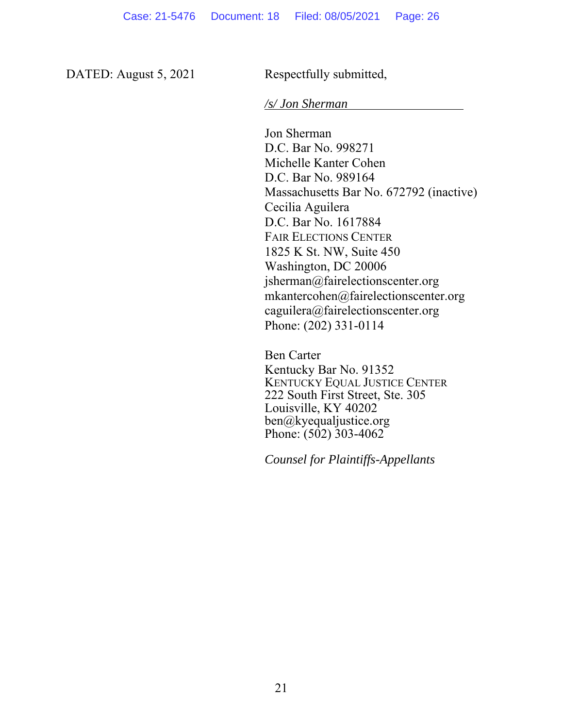DATED: August 5, 2021 Respectfully submitted,

*/s/ Jon Sherman* 

Jon Sherman D.C. Bar No. 998271 Michelle Kanter Cohen D.C. Bar No. 989164 Massachusetts Bar No. 672792 (inactive) Cecilia Aguilera D.C. Bar No. 1617884 FAIR ELECTIONS CENTER 1825 K St. NW, Suite 450 Washington, DC 20006 jsherman@fairelectionscenter.org mkantercohen@fairelectionscenter.org caguilera@fairelectionscenter.org Phone: (202) 331-0114

 Ben Carter Kentucky Bar No. 91352 KENTUCKY EQUAL JUSTICE CENTER 222 South First Street, Ste. 305 Louisville, KY 40202 ben@kyequaljustice.org Phone:  $(502)$  303-4062

*Counsel for Plaintiffs-Appellants*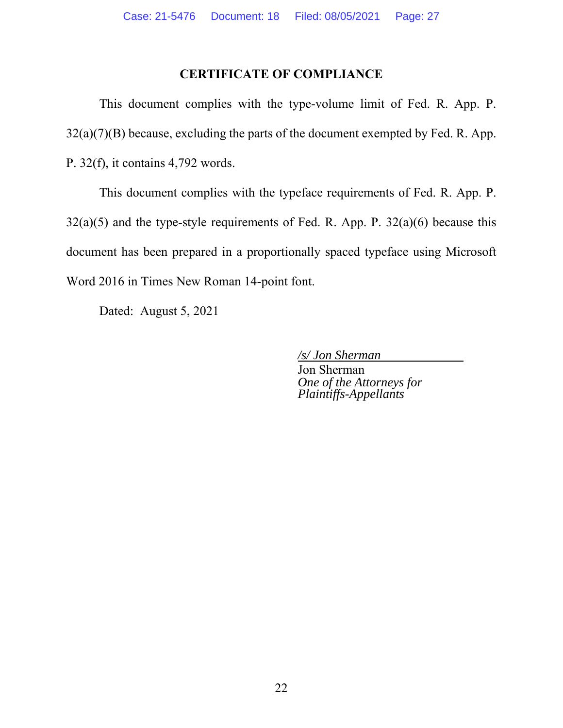### **CERTIFICATE OF COMPLIANCE**

This document complies with the type-volume limit of Fed. R. App. P.  $32(a)(7)(B)$  because, excluding the parts of the document exempted by Fed. R. App. P. 32(f), it contains 4,792 words.

This document complies with the typeface requirements of Fed. R. App. P.  $32(a)(5)$  and the type-style requirements of Fed. R. App. P.  $32(a)(6)$  because this document has been prepared in a proportionally spaced typeface using Microsoft Word 2016 in Times New Roman 14-point font.

Dated: August 5, 2021

*/s/ Jon Sherman* 

 Jon Sherman  *One of the Attorneys for Plaintiffs-Appellants*